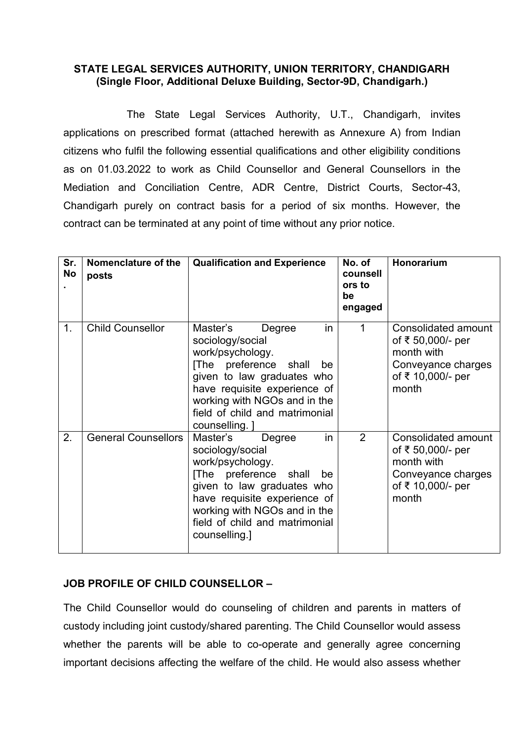## STATE LEGAL SERVICES AUTHORITY, UNION TERRITORY, CHANDIGARH (Single Floor, Additional Deluxe Building, Sector-9D, Chandigarh.)

The State Legal Services Authority, U.T., Chandigarh, invites applications on prescribed format (attached herewith as Annexure A) from Indian citizens who fulfil the following essential qualifications and other eligibility conditions as on 01.03.2022 to work as Child Counsellor and General Counsellors in the Mediation and Conciliation Centre, ADR Centre, District Courts, Sector-43, Chandigarh purely on contract basis for a period of six months. However, the contract can be terminated at any point of time without any prior notice.

| Sr.<br><b>No</b> | Nomenclature of the<br>posts | <b>Qualification and Experience</b>                                                                                                                                                                                                               | No. of<br>counsell<br>ors to<br>be<br>engaged | Honorarium                                                                                                 |
|------------------|------------------------------|---------------------------------------------------------------------------------------------------------------------------------------------------------------------------------------------------------------------------------------------------|-----------------------------------------------|------------------------------------------------------------------------------------------------------------|
| 1.               | <b>Child Counsellor</b>      | Master's<br>in<br>Degree<br>sociology/social<br>work/psychology.<br>[The preference shall<br>be<br>given to law graduates who<br>have requisite experience of<br>working with NGOs and in the<br>field of child and matrimonial<br>counselling. ] | 1                                             | Consolidated amount<br>of ₹ 50,000/- per<br>month with<br>Conveyance charges<br>of ₹ 10,000/- per<br>month |
| 2.               | <b>General Counsellors</b>   | Master's<br>Degree<br>in<br>sociology/social<br>work/psychology.<br>[The preference shall<br>be<br>given to law graduates who<br>have requisite experience of<br>working with NGOs and in the<br>field of child and matrimonial<br>counselling.]  | $\overline{2}$                                | Consolidated amount<br>of ₹ 50,000/- per<br>month with<br>Conveyance charges<br>of ₹ 10,000/- per<br>month |

## JOB PROFILE OF CHILD COUNSELLOR –

The Child Counsellor would do counseling of children and parents in matters of custody including joint custody/shared parenting. The Child Counsellor would assess whether the parents will be able to co-operate and generally agree concerning important decisions affecting the welfare of the child. He would also assess whether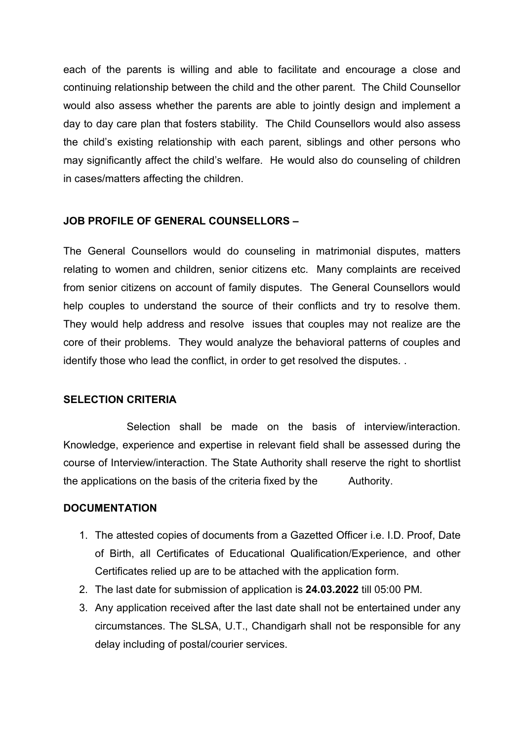each of the parents is willing and able to facilitate and encourage a close and continuing relationship between the child and the other parent. The Child Counsellor would also assess whether the parents are able to jointly design and implement a day to day care plan that fosters stability. The Child Counsellors would also assess the child's existing relationship with each parent, siblings and other persons who may significantly affect the child's welfare. He would also do counseling of children in cases/matters affecting the children.

## JOB PROFILE OF GENERAL COUNSELLORS –

The General Counsellors would do counseling in matrimonial disputes, matters relating to women and children, senior citizens etc. Many complaints are received from senior citizens on account of family disputes. The General Counsellors would help couples to understand the source of their conflicts and try to resolve them. They would help address and resolve issues that couples may not realize are the core of their problems. They would analyze the behavioral patterns of couples and identify those who lead the conflict, in order to get resolved the disputes. .

## SELECTION CRITERIA

Selection shall be made on the basis of interview/interaction. Knowledge, experience and expertise in relevant field shall be assessed during the course of Interview/interaction. The State Authority shall reserve the right to shortlist the applications on the basis of the criteria fixed by the Authority.

## **DOCUMENTATION**

- 1. The attested copies of documents from a Gazetted Officer i.e. I.D. Proof, Date of Birth, all Certificates of Educational Qualification/Experience, and other Certificates relied up are to be attached with the application form.
- 2. The last date for submission of application is 24.03.2022 till 05:00 PM.
- 3. Any application received after the last date shall not be entertained under any circumstances. The SLSA, U.T., Chandigarh shall not be responsible for any delay including of postal/courier services.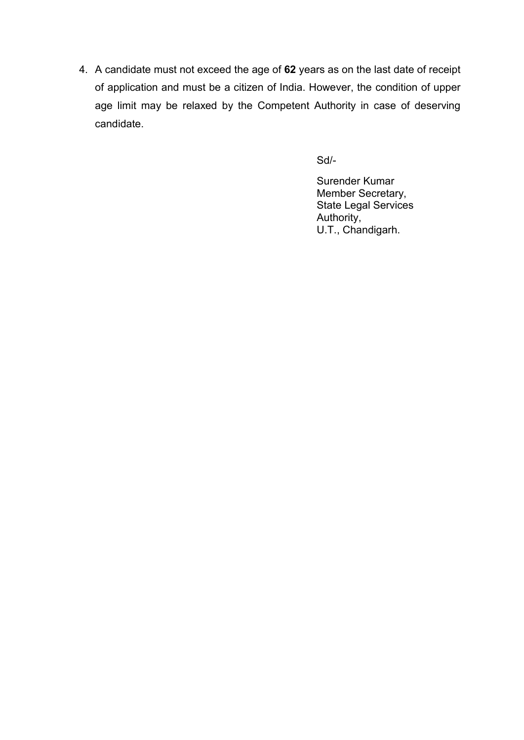4. A candidate must not exceed the age of 62 years as on the last date of receipt of application and must be a citizen of India. However, the condition of upper age limit may be relaxed by the Competent Authority in case of deserving candidate.

Sd/-

Surender Kumar Member Secretary, State Legal Services Authority, U.T., Chandigarh.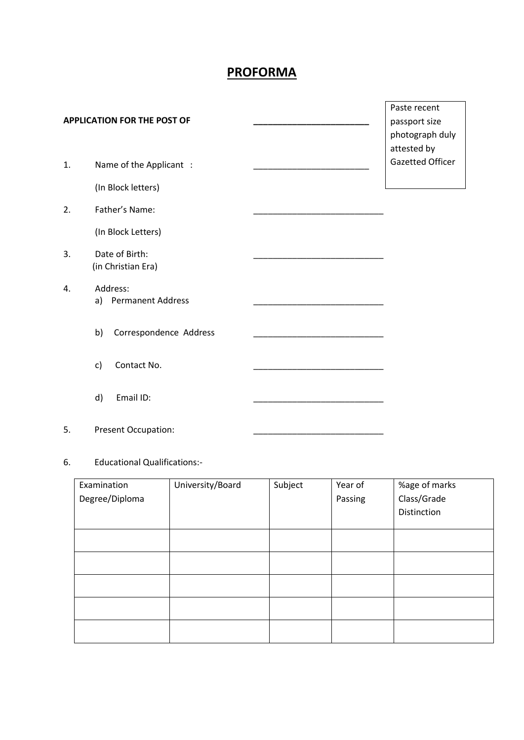# PROFORMA

#### APPLICATION FOR THE POST OF

- 1. Name of the Applicant :
	- (In Block letters)
- 2. Father's Name:

(In Block Letters)

- 3. Date of Birth: (in Christian Era)
- 4. Address: a) Permanent Address
	- b) Correspondence Address
	- c) Contact No.
	- d) Email ID:
- 5. Present Occupation:

#### 6. Educational Qualifications:-

| Examination    | University/Board | Subject | Year of | %age of marks |
|----------------|------------------|---------|---------|---------------|
| Degree/Diploma |                  |         | Passing | Class/Grade   |
|                |                  |         |         | Distinction   |
|                |                  |         |         |               |
|                |                  |         |         |               |
|                |                  |         |         |               |
|                |                  |         |         |               |
|                |                  |         |         |               |
|                |                  |         |         |               |
|                |                  |         |         |               |
|                |                  |         |         |               |

Paste recent passport size photograph duly attested by Gazetted Officer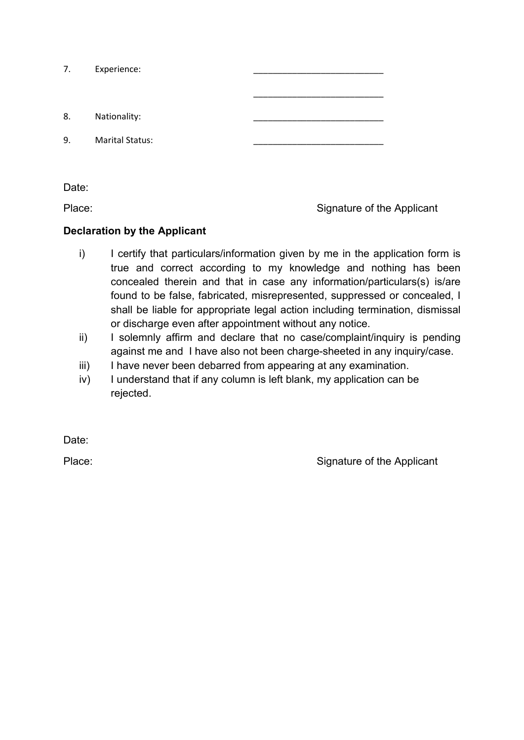| 7. | Experience:            |  |
|----|------------------------|--|
|    |                        |  |
| 8. | Nationality:           |  |
| 9. | <b>Marital Status:</b> |  |

Date:

Place: Place: Signature of the Applicant

## Declaration by the Applicant

- i) I certify that particulars/information given by me in the application form is true and correct according to my knowledge and nothing has been concealed therein and that in case any information/particulars(s) is/are found to be false, fabricated, misrepresented, suppressed or concealed, I shall be liable for appropriate legal action including termination, dismissal or discharge even after appointment without any notice.
- ii) I solemnly affirm and declare that no case/complaint/inquiry is pending against me and I have also not been charge-sheeted in any inquiry/case.
- iii) I have never been debarred from appearing at any examination.
- iv) I understand that if any column is left blank, my application can be rejected.

Date:

Place: Place: Signature of the Applicant